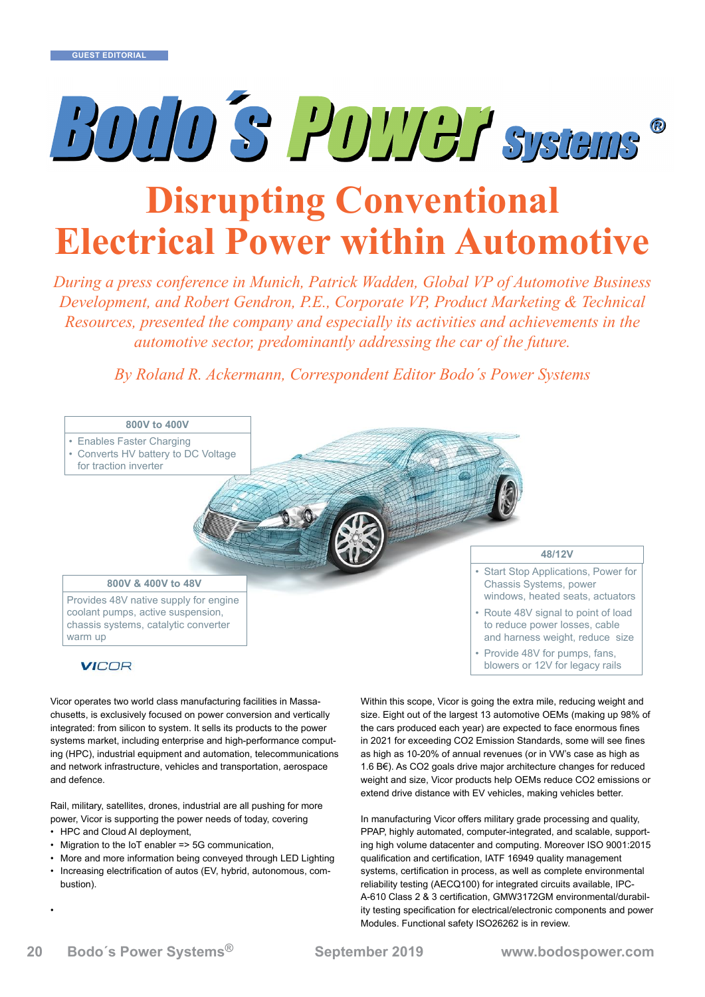# BOID'S POTTER Systems

# **Disrupting Conventional Electrical Power within Automotive**

*During a press conference in Munich, Patrick Wadden, Global VP of Automotive Business Development, and Robert Gendron, P.E., Corporate VP, Product Marketing & Technical Resources, presented the company and especially its activities and achievements in the automotive sector, predominantly addressing the car of the future.*

*By Roland R. Ackermann, Correspondent Editor Bodo´s Power Systems* Dy Rolland R. Heller mann, Correspondent Latter Bould ST over 19



Vicor operates two world class manufacturing facilities in Massachusetts, is exclusively focused on power conversion and vertically integrated: from silicon to system. It sells its products to the power systems market, including enterprise and high-performance computing (HPC), industrial equipment and automation, telecommunications and network infrastructure, vehicles and transportation, aerospace and defence.

Rail, military, satellites, drones, industrial are all pushing for more power, Vicor is supporting the power needs of today, covering

• HPC and Cloud AI deployment,

•

- Migration to the IoT enabler => 5G communication,
- More and more information being conveyed through LED Lighting
- Increasing electrification of autos (EV, hybrid, autonomous, combustion).

Within this scope, Vicor is going the extra mile, reducing weight and size. Eight out of the largest 13 automotive OEMs (making up 98% of the cars produced each year) are expected to face enormous fines in 2021 for exceeding CO2 Emission Standards, some will see fines as high as 10-20% of annual revenues (or in VW's case as high as 1.6 B€). As CO2 goals drive major architecture changes for reduced weight and size, Vicor products help OEMs reduce CO2 emissions or extend drive distance with EV vehicles, making vehicles better.

In manufacturing Vicor offers military grade processing and quality, PPAP, highly automated, computer-integrated, and scalable, supporting high volume datacenter and computing. Moreover ISO 9001:2015 qualification and certification, IATF 16949 quality management systems, certification in process, as well as complete environmental reliability testing (AECQ100) for integrated circuits available, IPC-A-610 Class 2 & 3 certification, GMW3172GM environmental/durability testing specification for electrical/electronic components and power Modules. Functional safety ISO26262 is in review.